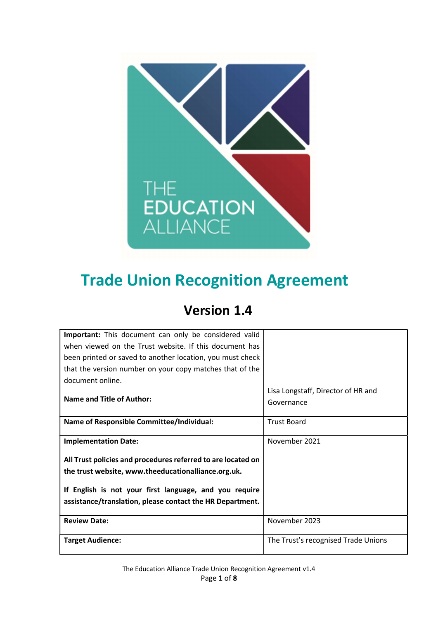

# Trade Union Recognition Agreement

## Version 1.4

| <b>Important:</b> This document can only be considered valid |                                     |
|--------------------------------------------------------------|-------------------------------------|
| when viewed on the Trust website. If this document has       |                                     |
| been printed or saved to another location, you must check    |                                     |
| that the version number on your copy matches that of the     |                                     |
| document online.                                             |                                     |
|                                                              | Lisa Longstaff, Director of HR and  |
| Name and Title of Author:                                    | Governance                          |
|                                                              |                                     |
| <b>Name of Responsible Committee/Individual:</b>             | <b>Trust Board</b>                  |
|                                                              |                                     |
| <b>Implementation Date:</b>                                  | November 2021                       |
| All Trust policies and procedures referred to are located on |                                     |
| the trust website, www.theeducationalliance.org.uk.          |                                     |
|                                                              |                                     |
| If English is not your first language, and you require       |                                     |
| assistance/translation, please contact the HR Department.    |                                     |
|                                                              |                                     |
| <b>Review Date:</b>                                          | November 2023                       |
|                                                              |                                     |
| <b>Target Audience:</b>                                      | The Trust's recognised Trade Unions |
|                                                              |                                     |

The Education Alliance Trade Union Recognition Agreement v1.4 Page 1 of 8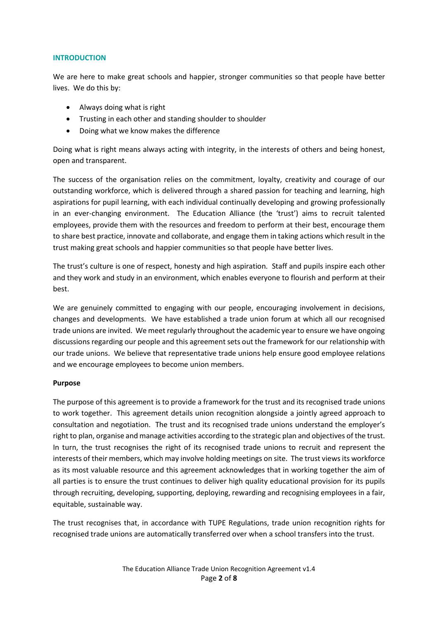#### INTRODUCTION

We are here to make great schools and happier, stronger communities so that people have better lives. We do this by:

- Always doing what is right
- Trusting in each other and standing shoulder to shoulder
- Doing what we know makes the difference

Doing what is right means always acting with integrity, in the interests of others and being honest, open and transparent.

The success of the organisation relies on the commitment, loyalty, creativity and courage of our outstanding workforce, which is delivered through a shared passion for teaching and learning, high aspirations for pupil learning, with each individual continually developing and growing professionally in an ever-changing environment. The Education Alliance (the 'trust') aims to recruit talented employees, provide them with the resources and freedom to perform at their best, encourage them to share best practice, innovate and collaborate, and engage them in taking actions which result in the trust making great schools and happier communities so that people have better lives.

The trust's culture is one of respect, honesty and high aspiration. Staff and pupils inspire each other and they work and study in an environment, which enables everyone to flourish and perform at their best.

We are genuinely committed to engaging with our people, encouraging involvement in decisions, changes and developments. We have established a trade union forum at which all our recognised trade unions are invited. We meet regularly throughout the academic year to ensure we have ongoing discussions regarding our people and this agreement sets out the framework for our relationship with our trade unions. We believe that representative trade unions help ensure good employee relations and we encourage employees to become union members.

#### Purpose

The purpose of this agreement is to provide a framework for the trust and its recognised trade unions to work together. This agreement details union recognition alongside a jointly agreed approach to consultation and negotiation. The trust and its recognised trade unions understand the employer's right to plan, organise and manage activities according to the strategic plan and objectives of the trust. In turn, the trust recognises the right of its recognised trade unions to recruit and represent the interests of their members, which may involve holding meetings on site. The trust views its workforce as its most valuable resource and this agreement acknowledges that in working together the aim of all parties is to ensure the trust continues to deliver high quality educational provision for its pupils through recruiting, developing, supporting, deploying, rewarding and recognising employees in a fair, equitable, sustainable way.

The trust recognises that, in accordance with TUPE Regulations, trade union recognition rights for recognised trade unions are automatically transferred over when a school transfers into the trust.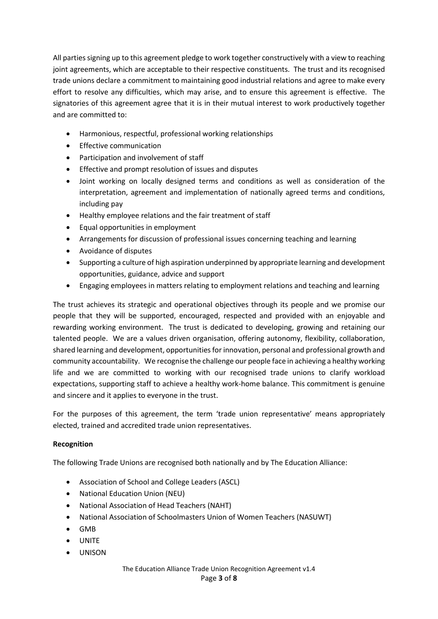All parties signing up to this agreement pledge to work together constructively with a view to reaching joint agreements, which are acceptable to their respective constituents. The trust and its recognised trade unions declare a commitment to maintaining good industrial relations and agree to make every effort to resolve any difficulties, which may arise, and to ensure this agreement is effective. The signatories of this agreement agree that it is in their mutual interest to work productively together and are committed to:

- Harmonious, respectful, professional working relationships
- **•** Effective communication
- Participation and involvement of staff
- **•** Effective and prompt resolution of issues and disputes
- Joint working on locally designed terms and conditions as well as consideration of the interpretation, agreement and implementation of nationally agreed terms and conditions, including pay
- Healthy employee relations and the fair treatment of staff
- Equal opportunities in employment
- Arrangements for discussion of professional issues concerning teaching and learning
- Avoidance of disputes
- Supporting a culture of high aspiration underpinned by appropriate learning and development opportunities, guidance, advice and support
- Engaging employees in matters relating to employment relations and teaching and learning

The trust achieves its strategic and operational objectives through its people and we promise our people that they will be supported, encouraged, respected and provided with an enjoyable and rewarding working environment. The trust is dedicated to developing, growing and retaining our talented people. We are a values driven organisation, offering autonomy, flexibility, collaboration, shared learning and development, opportunities for innovation, personal and professional growth and community accountability. We recognise the challenge our people face in achieving a healthy working life and we are committed to working with our recognised trade unions to clarify workload expectations, supporting staff to achieve a healthy work-home balance. This commitment is genuine and sincere and it applies to everyone in the trust.

For the purposes of this agreement, the term 'trade union representative' means appropriately elected, trained and accredited trade union representatives.

#### Recognition

The following Trade Unions are recognised both nationally and by The Education Alliance:

- Association of School and College Leaders (ASCL)
- National Education Union (NEU)
- National Association of Head Teachers (NAHT)
- National Association of Schoolmasters Union of Women Teachers (NASUWT)
- GMB
- UNITE
- UNISON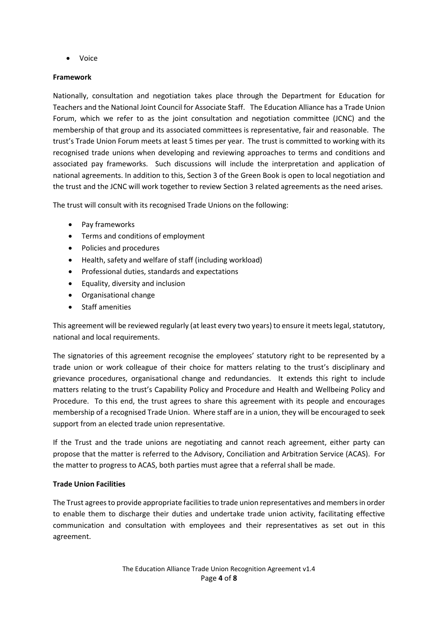Voice

#### Framework

Nationally, consultation and negotiation takes place through the Department for Education for Teachers and the National Joint Council for Associate Staff. The Education Alliance has a Trade Union Forum, which we refer to as the joint consultation and negotiation committee (JCNC) and the membership of that group and its associated committees is representative, fair and reasonable. The trust's Trade Union Forum meets at least 5 times per year. The trust is committed to working with its recognised trade unions when developing and reviewing approaches to terms and conditions and associated pay frameworks. Such discussions will include the interpretation and application of national agreements. In addition to this, Section 3 of the Green Book is open to local negotiation and the trust and the JCNC will work together to review Section 3 related agreements as the need arises.

The trust will consult with its recognised Trade Unions on the following:

- Pay frameworks
- Terms and conditions of employment
- Policies and procedures
- Health, safety and welfare of staff (including workload)
- Professional duties, standards and expectations
- Equality, diversity and inclusion
- Organisational change
- Staff amenities

This agreement will be reviewed regularly (at least every two years) to ensure it meets legal, statutory, national and local requirements.

The signatories of this agreement recognise the employees' statutory right to be represented by a trade union or work colleague of their choice for matters relating to the trust's disciplinary and grievance procedures, organisational change and redundancies. It extends this right to include matters relating to the trust's Capability Policy and Procedure and Health and Wellbeing Policy and Procedure. To this end, the trust agrees to share this agreement with its people and encourages membership of a recognised Trade Union. Where staff are in a union, they will be encouraged to seek support from an elected trade union representative.

If the Trust and the trade unions are negotiating and cannot reach agreement, either party can propose that the matter is referred to the Advisory, Conciliation and Arbitration Service (ACAS). For the matter to progress to ACAS, both parties must agree that a referral shall be made.

#### Trade Union Facilities

The Trust agrees to provide appropriate facilities to trade union representatives and members in order to enable them to discharge their duties and undertake trade union activity, facilitating effective communication and consultation with employees and their representatives as set out in this agreement.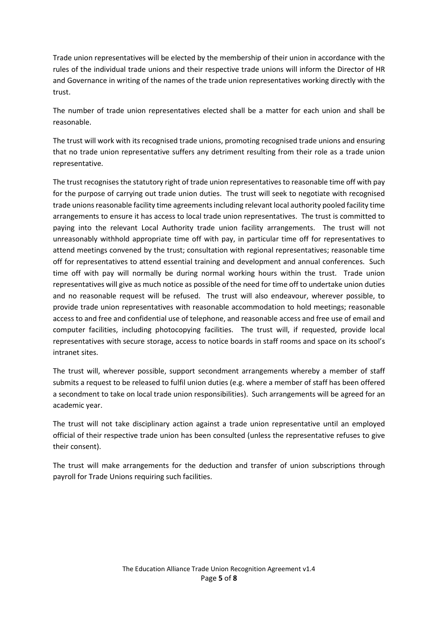Trade union representatives will be elected by the membership of their union in accordance with the rules of the individual trade unions and their respective trade unions will inform the Director of HR and Governance in writing of the names of the trade union representatives working directly with the trust.

The number of trade union representatives elected shall be a matter for each union and shall be reasonable.

The trust will work with its recognised trade unions, promoting recognised trade unions and ensuring that no trade union representative suffers any detriment resulting from their role as a trade union representative.

The trust recognises the statutory right of trade union representatives to reasonable time off with pay for the purpose of carrying out trade union duties. The trust will seek to negotiate with recognised trade unions reasonable facility time agreements including relevant local authority pooled facility time arrangements to ensure it has access to local trade union representatives. The trust is committed to paying into the relevant Local Authority trade union facility arrangements. The trust will not unreasonably withhold appropriate time off with pay, in particular time off for representatives to attend meetings convened by the trust; consultation with regional representatives; reasonable time off for representatives to attend essential training and development and annual conferences. Such time off with pay will normally be during normal working hours within the trust. Trade union representatives will give as much notice as possible of the need for time off to undertake union duties and no reasonable request will be refused. The trust will also endeavour, wherever possible, to provide trade union representatives with reasonable accommodation to hold meetings; reasonable access to and free and confidential use of telephone, and reasonable access and free use of email and computer facilities, including photocopying facilities. The trust will, if requested, provide local representatives with secure storage, access to notice boards in staff rooms and space on its school's intranet sites.

The trust will, wherever possible, support secondment arrangements whereby a member of staff submits a request to be released to fulfil union duties (e.g. where a member of staff has been offered a secondment to take on local trade union responsibilities). Such arrangements will be agreed for an academic year.

The trust will not take disciplinary action against a trade union representative until an employed official of their respective trade union has been consulted (unless the representative refuses to give their consent).

The trust will make arrangements for the deduction and transfer of union subscriptions through payroll for Trade Unions requiring such facilities.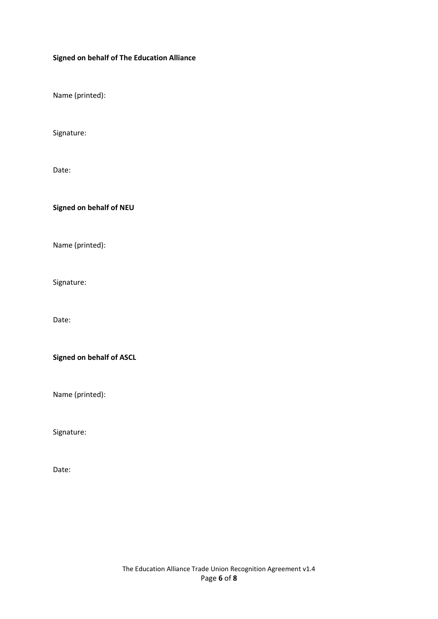#### Signed on behalf of The Education Alliance

Name (printed):

Signature:

Date:

Signed on behalf of NEU

Name (printed):

Signature:

Date:

Signed on behalf of ASCL

Name (printed):

Signature:

Date: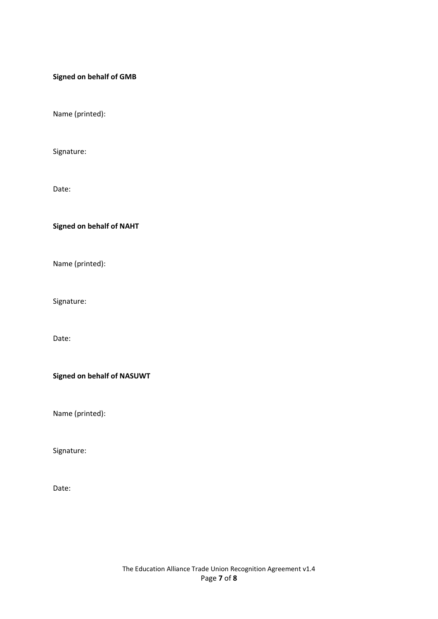#### Signed on behalf of GMB

Name (printed):

Signature:

Date:

Signed on behalf of NAHT

Name (printed):

Signature:

Date:

Signed on behalf of NASUWT

Name (printed):

Signature:

Date: